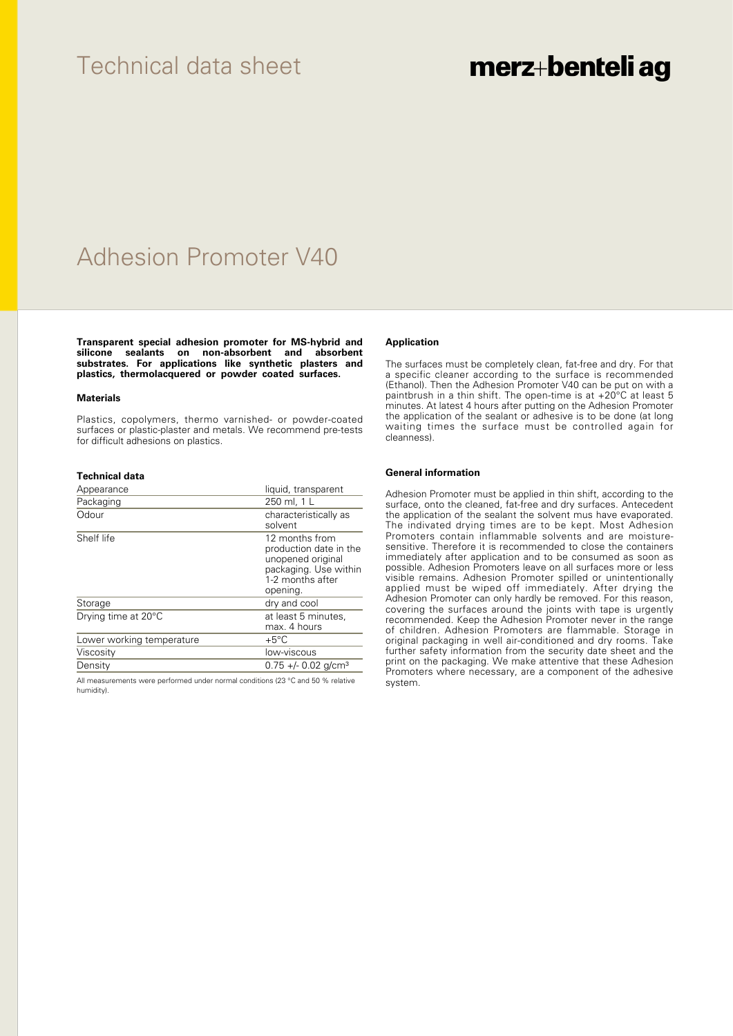### Technical data sheet

# merz+benteli ag

## Adhesion Promoter V40

**Transparent special adhesion promoter for MS-hybrid and silicone sealants on non-absorbent and absorbent substrates. For applications like synthetic plasters and plastics, thermolacquered or powder coated surfaces.**

#### **Materials**

Plastics, copolymers, thermo varnished- or powder-coated surfaces or plastic-plaster and metals. We recommend pre-tests for difficult adhesions on plastics.

#### **Technical data**

| Appearance                | liquid, transparent                                                                                                    |
|---------------------------|------------------------------------------------------------------------------------------------------------------------|
| Packaging                 | 250 ml, 1 L                                                                                                            |
| Odour                     | characteristically as<br>solvent                                                                                       |
| Shelf life                | 12 months from<br>production date in the<br>unopened original<br>packaging. Use within<br>1-2 months after<br>opening. |
| Storage                   | dry and cool                                                                                                           |
| Drying time at 20°C       | at least 5 minutes,<br>max. 4 hours                                                                                    |
| Lower working temperature | $+5^{\circ}$ C                                                                                                         |
| Viscosity                 | low-viscous                                                                                                            |
| Density                   | $0.75 +/- 0.02$ g/cm <sup>3</sup>                                                                                      |

All measurements were performed under normal conditions (23 °C and 50 % relative humidity).

#### **Application**

The surfaces must be completely clean, fat-free and dry. For that a specific cleaner according to the surface is recommended (Ethanol). Then the Adhesion Promoter V40 can be put on with a paintbrush in a thin shift. The open-time is at +20°C at least 5 minutes. At latest 4 hours after putting on the Adhesion Promoter the application of the sealant or adhesive is to be done (at long waiting times the surface must be controlled again for cleanness).

#### **General information**

Adhesion Promoter must be applied in thin shift, according to the surface, onto the cleaned, fat-free and dry surfaces. Antecedent the application of the sealant the solvent mus have evaporated. The indivated drying times are to be kept. Most Adhesion Promoters contain inflammable solvents and are moisturesensitive. Therefore it is recommended to close the containers immediately after application and to be consumed as soon as possible. Adhesion Promoters leave on all surfaces more or less visible remains. Adhesion Promoter spilled or unintentionally applied must be wiped off immediately. After drying the Adhesion Promoter can only hardly be removed. For this reason, covering the surfaces around the joints with tape is urgently recommended. Keep the Adhesion Promoter never in the range of children. Adhesion Promoters are flammable. Storage in original packaging in well air-conditioned and dry rooms. Take further safety information from the security date sheet and the print on the packaging. We make attentive that these Adhesion Promoters where necessary, are a component of the adhesive system.